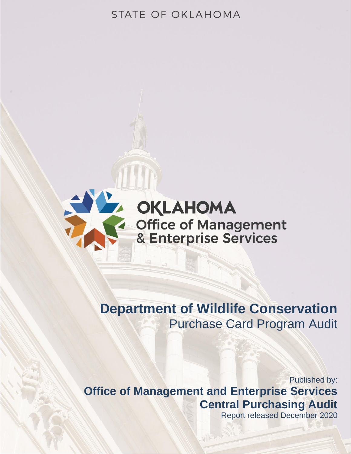# STATE OF OKLAHOMA



# **Department of Wildlife Conservation** Purchase Card Program Audit

# Published by: **Office of Management and Enterprise Services Central Purchasing Audit**

Report released December 2020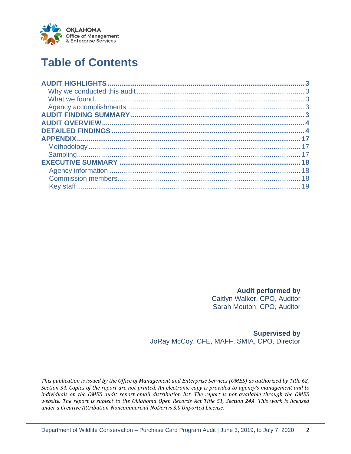

# **Table of Contents**

**Audit performed by**

Caitlyn Walker, CPO, Auditor Sarah Mouton, CPO, Auditor

**Supervised by** JoRay McCoy, CFE, MAFF, SMIA, CPO, Director

*This publication is issued by the Office of Management and Enterprise Services (OMES) as authorized by Title 62, Section 34. Copies of the report are not printed. An electronic copy is provided to agency's management and to individuals on the OMES audit report email distribution list. The report is not available through the OMES website. The report is subject to the Oklahoma Open Records Act Title 51, Section 24A. This work is licensed under a Creative Attribution-Noncommercial-NoDerivs 3.0 Unported License.*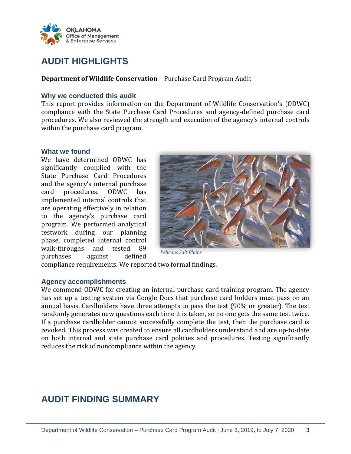

# <span id="page-2-0"></span>**AUDIT HIGHLIGHTS**

**Department of Wildlife Conservation –** Purchase Card Program Audit

### <span id="page-2-1"></span>**Why we conducted this audit**

This report provides information on the Department of Wildlife Conservation's (ODWC) compliance with the State Purchase Card Procedures and agency-defined purchase card procedures. We also reviewed the strength and execution of the agency's internal controls within the purchase card program.

#### <span id="page-2-2"></span>**What we found**

We have determined ODWC has significantly complied with the State Purchase Card Procedures and the agency's internal purchase card procedures. ODWC has implemented internal controls that are operating effectively in relation to the agency's purchase card program. We performed analytical testwork during our planning phase, completed internal control walk-throughs and tested 89 purchases against defined



*Pelicans Salt Plains*

compliance requirements. We reported two formal findings.

### <span id="page-2-3"></span>**Agency accomplishments**

We commend ODWC for creating an internal purchase card training program. The agency has set up a testing system via Google Docs that purchase card holders must pass on an annual basis. Cardholders have three attempts to pass the test (90% or greater). The test randomly generates new questions each time it is taken, so no one gets the same test twice. If a purchase cardholder cannot successfully complete the test, then the purchase card is revoked. This process was created to ensure all cardholders understand and are up-to-date on both internal and state purchase card policies and procedures. Testing significantly reduces the risk of noncompliance within the agency.

# <span id="page-2-4"></span>**AUDIT FINDING SUMMARY**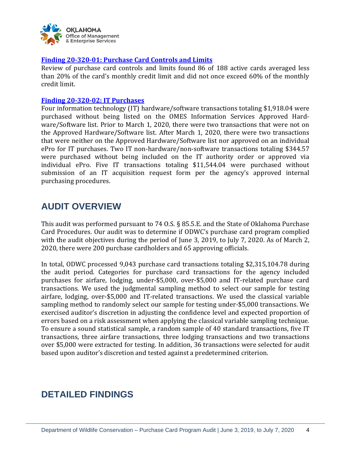

### <span id="page-3-2"></span>**[Finding 20-320-01: Purchase Card Controls and Limits](#page-4-0)**

Review of purchase card controls and limits found 86 of 188 active cards averaged less than 20% of the card's monthly credit limit and did not once exceed 60% of the monthly credit limit.

#### <span id="page-3-3"></span>**[Finding 20-320-02: IT Purchases](#page-8-0)**

Four information technology (IT) hardware/software transactions totaling \$1,918.04 were purchased without being listed on the OMES Information Services Approved Hardware/Software list. Prior to March 1, 2020, there were two transactions that were not on the Approved Hardware/Software list. After March 1, 2020, there were two transactions that were neither on the Approved Hardware/Software list nor approved on an individual ePro for IT purchases. Two IT non-hardware/non-software transactions totaling \$344.57 were purchased without being included on the IT authority order or approved via individual ePro. Five IT transactions totaling \$11,544.04 were purchased without submission of an IT acquisition request form per the agency's approved internal purchasing procedures.

# <span id="page-3-0"></span>**AUDIT OVERVIEW**

This audit was performed pursuant to 74 O.S. § 85.5.E. and the State of Oklahoma Purchase Card Procedures. Our audit was to determine if ODWC's purchase card program complied with the audit objectives during the period of June 3, 2019, to July 7, 2020. As of March 2, 2020, there were 200 purchase cardholders and 65 approving officials.

In total, ODWC processed 9,043 purchase card transactions totaling \$2,315,104.78 during the audit period. Categories for purchase card transactions for the agency included purchases for airfare, lodging, under-\$5,000, over-\$5,000 and IT-related purchase card transactions. We used the judgmental sampling method to select our sample for testing airfare, lodging, over-\$5,000 and IT-related transactions. We used the classical variable sampling method to randomly select our sample for testing under-\$5,000 transactions. We exercised auditor's discretion in adjusting the confidence level and expected proportion of errors based on a risk assessment when applying the classical variable sampling technique. To ensure a sound statistical sample, a random sample of 40 standard transactions, five IT transactions, three airfare transactions, three lodging transactions and two transactions over \$5,000 were extracted for testing. In addition, 36 transactions were selected for audit based upon auditor's discretion and tested against a predetermined criterion.

# <span id="page-3-1"></span>**DETAILED FINDINGS**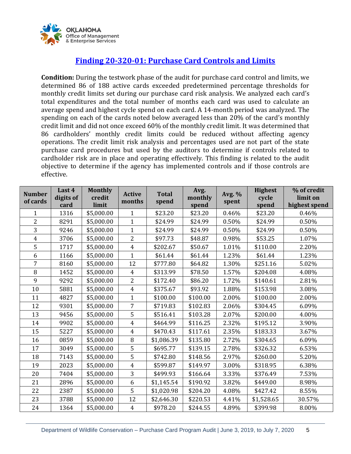

# **[Finding 20-320-01: Purchase Card Controls and Limits](#page-3-2)**

<span id="page-4-0"></span>**Condition:** During the testwork phase of the audit for purchase card control and limits, we determined 86 of 188 active cards exceeded predetermined percentage thresholds for monthly credit limits set during our purchase card risk analysis. We analyzed each card's total expenditures and the total number of months each card was used to calculate an average spend and highest cycle spend on each card. A 14-month period was analyzed. The spending on each of the cards noted below averaged less than 20% of the card's monthly credit limit and did not once exceed 60% of the monthly credit limit. It was determined that 86 cardholders' monthly credit limits could be reduced without affecting agency operations. The credit limit risk analysis and percentages used are not part of the state purchase card procedures but used by the auditors to determine if controls related to cardholder risk are in place and operating effectively. This finding is related to the audit objective to determine if the agency has implemented controls and if those controls are effective.

| <b>Number</b>  | Last 4    | <b>Monthly</b> | <b>Active</b>  | <b>Total</b> | Avg.     | Avg. % | <b>Highest</b> | % of credit   |
|----------------|-----------|----------------|----------------|--------------|----------|--------|----------------|---------------|
| of cards       | digits of | credit         | months         | spend        | monthly  | spent  | cycle          | limit on      |
|                | card      | limit          |                |              | spend    |        | spend          | highest spend |
| $\mathbf{1}$   | 1316      | \$5,000.00     | $\mathbf{1}$   | \$23.20      | \$23.20  | 0.46%  | \$23.20        | 0.46%         |
| $\overline{2}$ | 8291      | \$5,000.00     | $\mathbf{1}$   | \$24.99      | \$24.99  | 0.50%  | \$24.99        | 0.50%         |
| 3              | 9246      | \$5,000.00     | $\mathbf{1}$   | \$24.99      | \$24.99  | 0.50%  | \$24.99        | 0.50%         |
| $\overline{4}$ | 3706      | \$5,000.00     | $\overline{2}$ | \$97.73      | \$48.87  | 0.98%  | \$53.25        | 1.07%         |
| 5              | 1717      | \$5,000.00     | $\overline{4}$ | \$202.67     | \$50.67  | 1.01%  | \$110.00       | 2.20%         |
| 6              | 1166      | \$5,000.00     | $\mathbf{1}$   | \$61.44      | \$61.44  | 1.23%  | \$61.44        | 1.23%         |
| $\overline{7}$ | 8160      | \$5,000.00     | 12             | \$777.80     | \$64.82  | 1.30%  | \$251.16       | 5.02%         |
| 8              | 1452      | \$5,000.00     | $\overline{4}$ | \$313.99     | \$78.50  | 1.57%  | \$204.08       | 4.08%         |
| 9              | 9292      | \$5,000.00     | $\overline{2}$ | \$172.40     | \$86.20  | 1.72%  | \$140.61       | 2.81%         |
| 10             | 5881      | \$5,000.00     | $\overline{4}$ | \$375.67     | \$93.92  | 1.88%  | \$153.98       | 3.08%         |
| 11             | 4827      | \$5,000.00     | $\mathbf{1}$   | \$100.00     | \$100.00 | 2.00%  | \$100.00       | 2.00%         |
| 12             | 9301      | \$5,000.00     | $\overline{7}$ | \$719.83     | \$102.83 | 2.06%  | \$304.45       | 6.09%         |
| 13             | 9456      | \$5,000.00     | 5              | \$516.41     | \$103.28 | 2.07%  | \$200.00       | 4.00%         |
| 14             | 9902      | \$5,000.00     | $\overline{4}$ | \$464.99     | \$116.25 | 2.32%  | \$195.12       | 3.90%         |
| 15             | 5227      | \$5,000.00     | $\overline{4}$ | \$470.43     | \$117.61 | 2.35%  | \$183.33       | 3.67%         |
| 16             | 0859      | \$5,000.00     | 8              | \$1,086.39   | \$135.80 | 2.72%  | \$304.65       | 6.09%         |
| 17             | 3049      | \$5,000.00     | 5              | \$695.77     | \$139.15 | 2.78%  | \$326.32       | 6.53%         |
| 18             | 7143      | \$5,000.00     | 5              | \$742.80     | \$148.56 | 2.97%  | \$260.00       | 5.20%         |
| 19             | 2023      | \$5,000.00     | $\overline{4}$ | \$599.87     | \$149.97 | 3.00%  | \$318.95       | 6.38%         |
| 20             | 7404      | \$5,000.00     | 3              | \$499.93     | \$166.64 | 3.33%  | \$376.49       | 7.53%         |
| 21             | 2896      | \$5,000.00     | 6              | \$1,145.54   | \$190.92 | 3.82%  | \$449.00       | 8.98%         |
| 22             | 2387      | \$5,000.00     | 5              | \$1,020.98   | \$204.20 | 4.08%  | \$427.42       | 8.55%         |
| 23             | 3788      | \$5,000.00     | 12             | \$2,646.30   | \$220.53 | 4.41%  | \$1,528.65     | 30.57%        |
| 24             | 1364      | \$5,000.00     | $\overline{4}$ | \$978.20     | \$244.55 | 4.89%  | \$399.98       | 8.00%         |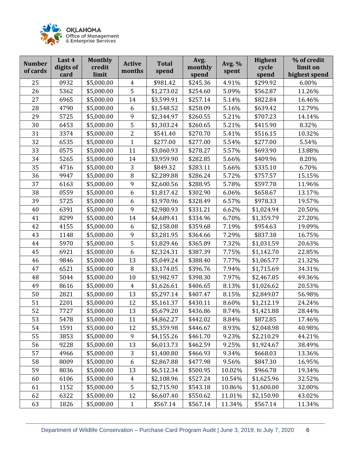

| <b>Number</b><br>of cards | Last 4<br>digits of<br>card | <b>Monthly</b><br>credit<br>limit | <b>Active</b><br>months | <b>Total</b><br>spend | Avg.<br>monthly<br>spend | Avg. %<br>spent | <b>Highest</b><br>cycle<br>spend | % of credit<br>limit on<br>highest spend |
|---------------------------|-----------------------------|-----------------------------------|-------------------------|-----------------------|--------------------------|-----------------|----------------------------------|------------------------------------------|
| 25                        | 0932                        | \$5,000.00                        | $\overline{4}$          | \$981.42              | \$245.36                 | 4.91%           | \$299.92                         | 6.00%                                    |
| 26                        | 5362                        | \$5,000.00                        | 5                       | \$1,273.02            | \$254.60                 | 5.09%           | \$562.87                         | 11.26%                                   |
| 27                        | 6965                        | \$5,000.00                        | 14                      | \$3,599.91            | \$257.14                 | 5.14%           | \$822.84                         | 16.46%                                   |
| 28                        | 4790                        | \$5,000.00                        | 6                       | \$1,548.52            | \$258.09                 | 5.16%           | \$639.42                         | 12.79%                                   |
| 29                        | 5725                        | \$5,000.00                        | 9                       | \$2,344.97            | \$260.55                 | 5.21%           | \$707.23                         | 14.14%                                   |
| 30                        | 6453                        | \$5,000.00                        | 5                       | \$1,303.24            | \$260.65                 | 5.21%           | \$415.90                         | 8.32%                                    |
| 31                        | 3374                        | \$5,000.00                        | $\overline{2}$          | \$541.40              | \$270.70                 | 5.41%           | \$516.15                         | 10.32%                                   |
| 32                        | 6535                        | \$5,000.00                        | 1                       | \$277.00              | \$277.00                 | 5.54%           | \$277.00                         | 5.54%                                    |
| 33                        | 0575                        | \$5,000.00                        | 11                      | \$3,060.93            | \$278.27                 | 5.57%           | \$693.90                         | 13.88%                                   |
| 34                        | 5265                        | \$5,000.00                        | 14                      | \$3,959.90            | \$282.85                 | 5.66%           | \$409.96                         | 8.20%                                    |
| 35                        | 4716                        | \$5,000.00                        | 3                       | \$849.32              | \$283.11                 | 5.66%           | \$335.10                         | 6.70%                                    |
| 36                        | 9947                        | \$5,000.00                        | 8                       | \$2,289.88            | \$286.24                 | 5.72%           | \$757.57                         | 15.15%                                   |
| 37                        | 6163                        | \$5,000.00                        | 9                       | \$2,600.56            | \$288.95                 | 5.78%           | \$597.78                         | 11.96%                                   |
| 38                        | 0559                        | \$5,000.00                        | 6                       | \$1,817.42            | \$302.90                 | 6.06%           | \$658.67                         | 13.17%                                   |
| 39                        | 5725                        | \$5,000.00                        | 6                       | \$1,970.96            | \$328.49                 | 6.57%           | \$978.33                         | 19.57%                                   |
| 40                        | 6391                        | \$5,000.00                        | 9                       | \$2,980.93            | \$331.21                 | 6.62%           | \$1,024.94                       | 20.50%                                   |
| 41                        | 8299                        | \$5,000.00                        | 14                      | \$4,689.41            | \$334.96                 | 6.70%           | \$1,359.79                       | 27.20%                                   |
| 42                        | 4155                        | \$5,000.00                        | 6                       | \$2,158.08            | \$359.68                 | 7.19%           | \$954.63                         | 19.09%                                   |
| 43                        | 1148                        | \$5,000.00                        | 9                       | \$3,281.95            | \$364.66                 | 7.29%           | \$837.38                         | 16.75%                                   |
| 44                        | 5970                        | \$5,000.00                        | 5                       | \$1,829.46            | \$365.89                 | 7.32%           | \$1,031.59                       | 20.63%                                   |
| 45                        | 6921                        | \$5,000.00                        | 6                       | \$2,324.31            | \$387.39                 | 7.75%           | \$1,142.70                       | 22.85%                                   |
| 46                        | 9846                        | \$5,000.00                        | 13                      | \$5,049.24            | \$388.40                 | 7.77%           | \$1,065.77                       | 21.32%                                   |
| 47                        | 6521                        | \$5,000.00                        | 8                       | \$3,174.05            | \$396.76                 | 7.94%           | \$1,715.69                       | 34.31%                                   |
| 48                        | 5044                        | \$5,000.00                        | 10                      | \$3,982.97            | \$398.30                 | 7.97%           | \$2,467.85                       | 49.36%                                   |
| 49                        | 8616                        | \$5,000.00                        | $\overline{4}$          | \$1,626.61            | \$406.65                 | 8.13%           | \$1,026.62                       | 20.53%                                   |
| 50                        | 2821                        | \$5,000.00                        | 13                      | \$5,297.14            | \$407.47                 | 8.15%           | \$2,849.07                       | 56.98%                                   |
| 51                        | 2201                        | \$5,000.00                        | 12                      | \$5,161.37            | \$430.11                 | 8.60%           | \$1,212.19                       | 24.24%                                   |
| 52                        | 7727                        | \$5,000.00                        | 13                      | \$5,679.20            | \$436.86                 | 8.74%           | \$1,421.88                       | 28.44%                                   |
| 53                        | 5478                        | \$5,000.00                        | 11                      | \$4,862.27            | \$442.02                 | 8.84%           | \$872.85                         | 17.46%                                   |
| 54                        | 1591                        | \$5,000.00                        | 12                      | \$5,359.98            | \$446.67                 | 8.93%           | \$2,048.98                       | 40.98%                                   |
| 55                        | 3853                        | \$5,000.00                        | 9                       | \$4,155.26            | \$461.70                 | 9.23%           | \$2,210.29                       | 44.21%                                   |
| 56                        | 9228                        | \$5,000.00                        | 13                      | \$6,013.73            | \$462.59                 | 9.25%           | \$1,924.67                       | 38.49%                                   |
| 57                        | 4966                        | \$5,000.00                        | 3                       | \$1,400.80            | \$466.93                 | 9.34%           | \$668.03                         | 13.36%                                   |
| 58                        | 8009                        | \$5,000.00                        | 6                       | \$2,867.88            | \$477.98                 | 9.56%           | \$847.30                         | 16.95%                                   |
| 59                        | 8036                        | \$5,000.00                        | 13                      | \$6,512.34            | \$500.95                 | 10.02%          | \$966.78                         | 19.34%                                   |
| 60                        | 6106                        | \$5,000.00                        | $\overline{4}$          | \$2,108.96            | \$527.24                 | 10.54%          | \$1,625.96                       | 32.52%                                   |
| 61                        | 1152                        | \$5,000.00                        | 5                       | \$2,715.90            | \$543.18                 | 10.86%          | \$1,600.00                       | 32.00%                                   |
| 62                        | 6322                        | \$5,000.00                        | 12                      | \$6,607.40            | \$550.62                 | 11.01%          | \$2,150.90                       | 43.02%                                   |
| 63                        | 1826                        | \$5,000.00                        | $\mathbf{1}$            | \$567.14              | \$567.14                 | 11.34%          | \$567.14                         | 11.34%                                   |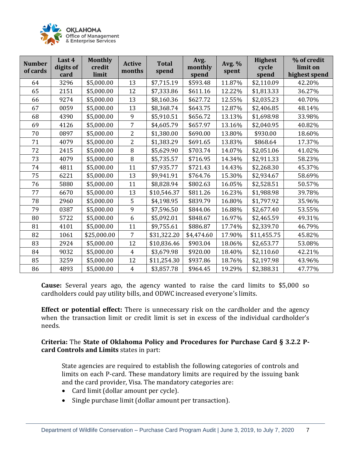

| <b>Number</b><br>of cards | Last 4<br>digits of<br>card | <b>Monthly</b><br>credit<br>limit | <b>Active</b><br>months | <b>Total</b><br>spend | Avg.<br>monthly<br>spend | Avg. %<br>spent | <b>Highest</b><br>cycle<br>spend | % of credit<br>limit on<br>highest spend |
|---------------------------|-----------------------------|-----------------------------------|-------------------------|-----------------------|--------------------------|-----------------|----------------------------------|------------------------------------------|
| 64                        | 3296                        | \$5,000.00                        | 13                      | \$7,715.19            | \$593.48                 | 11.87%          | \$2,110.09                       | 42.20%                                   |
| 65                        | 2151                        | \$5,000.00                        | 12                      | \$7,333.86            | \$611.16                 | 12.22%          | \$1,813.33                       | 36.27%                                   |
| 66                        | 9274                        | \$5,000.00                        | 13                      | \$8,160.36            | \$627.72                 | 12.55%          | \$2,035.23                       | 40.70%                                   |
| 67                        | 0059                        | \$5,000.00                        | 13                      | \$8,368.74            | \$643.75                 | 12.87%          | \$2,406.85                       | 48.14%                                   |
| 68                        | 4390                        | \$5,000.00                        | 9                       | \$5,910.51            | \$656.72                 | 13.13%          | \$1,698.98                       | 33.98%                                   |
| 69                        | 4126                        | \$5,000.00                        | 7                       | \$4,605.79            | \$657.97                 | 13.16%          | \$2,040.95                       | 40.82%                                   |
| 70                        | 0897                        | \$5,000.00                        | $\overline{2}$          | \$1,380.00            | \$690.00                 | 13.80%          | \$930.00                         | 18.60%                                   |
| 71                        | 4079                        | \$5,000.00                        | $\overline{2}$          | \$1,383.29            | \$691.65                 | 13.83%          | \$868.64                         | 17.37%                                   |
| 72                        | 2415                        | \$5,000.00                        | 8                       | \$5,629.90            | \$703.74                 | 14.07%          | \$2,051.06                       | 41.02%                                   |
| 73                        | 4079                        | \$5,000.00                        | 8                       | \$5,735.57            | \$716.95                 | 14.34%          | \$2,911.33                       | 58.23%                                   |
| 74                        | 4811                        | \$5,000.00                        | 11                      | \$7,935.77            | \$721.43                 | 14.43%          | \$2,268.30                       | 45.37%                                   |
| 75                        | 6221                        | \$5,000.00                        | 13                      | \$9,941.91            | \$764.76                 | 15.30%          | \$2,934.67                       | 58.69%                                   |
| 76                        | 5880                        | \$5,000.00                        | 11                      | \$8,828.94            | \$802.63                 | 16.05%          | \$2,528.51                       | 50.57%                                   |
| 77                        | 6670                        | \$5,000.00                        | 13                      | \$10,546.37           | \$811.26                 | 16.23%          | \$1,988.98                       | 39.78%                                   |
| 78                        | 2960                        | \$5,000.00                        | 5                       | \$4,198.95            | \$839.79                 | 16.80%          | \$1,797.92                       | 35.96%                                   |
| 79                        | 0387                        | \$5,000.00                        | 9                       | \$7,596.50            | \$844.06                 | 16.88%          | \$2,677.40                       | 53.55%                                   |
| 80                        | 5722                        | \$5,000.00                        | 6                       | \$5,092.01            | \$848.67                 | 16.97%          | \$2,465.59                       | 49.31%                                   |
| 81                        | 4101                        | \$5,000.00                        | 11                      | \$9,755.61            | \$886.87                 | 17.74%          | \$2,339.70                       | 46.79%                                   |
| 82                        | 1061                        | \$25,000.00                       | $\overline{7}$          | \$31,322.20           | \$4,474.60               | 17.90%          | \$11,455.75                      | 45.82%                                   |
| 83                        | 2924                        | \$5,000.00                        | 12                      | \$10,836.46           | \$903.04                 | 18.06%          | \$2,653.77                       | 53.08%                                   |
| 84                        | 9032                        | \$5,000.00                        | $\overline{4}$          | \$3,679.98            | \$920.00                 | 18.40%          | \$2,110.60                       | 42.21%                                   |
| 85                        | 3259                        | \$5,000.00                        | 12                      | \$11,254.30           | \$937.86                 | 18.76%          | \$2,197.98                       | 43.96%                                   |
| 86                        | 4893                        | \$5,000.00                        | $\overline{4}$          | \$3,857.78            | \$964.45                 | 19.29%          | \$2,388.31                       | 47.77%                                   |

**Cause:** Several years ago, the agency wanted to raise the card limits to \$5,000 so cardholders could pay utility bills, and ODWC increased everyone's limits.

**Effect or potential effect:** There is unnecessary risk on the cardholder and the agency when the transaction limit or credit limit is set in excess of the individual cardholder's needs.

**Criteria:** The **State of Oklahoma Policy and Procedures for Purchase Card § 3.2.2 Pcard Controls and Limits** states in part:

State agencies are required to establish the following categories of controls and limits on each P-card. These mandatory limits are required by the issuing bank and the card provider, Visa. The mandatory categories are:

- Card limit (dollar amount per cycle).
- Single purchase limit (dollar amount per transaction).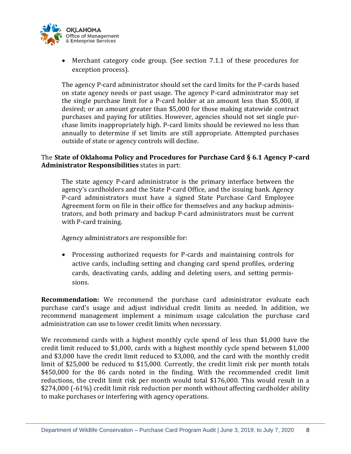

• Merchant category code group. (See section 7.1.1 of these procedures for exception process).

The agency P-card administrator should set the card limits for the P-cards based on state agency needs or past usage. The agency P-card administrator may set the single purchase limit for a P-card holder at an amount less than \$5,000, if desired; or an amount greater than \$5,000 for those making statewide contract purchases and paying for utilities. However, agencies should not set single purchase limits inappropriately high. P-card limits should be reviewed no less than annually to determine if set limits are still appropriate. Attempted purchases outside of state or agency controls will decline.

## The **State of Oklahoma Policy and Procedures for Purchase Card § 6.1 Agency P-card Administrator Responsibilities** states in part:

The state agency P-card administrator is the primary interface between the agency's cardholders and the State P-card Office, and the issuing bank. Agency P-card administrators must have a signed State Purchase Card Employee Agreement form on file in their office for themselves and any backup administrators, and both primary and backup P-card administrators must be current with P-card training.

Agency administrators are responsible for:

• Processing authorized requests for P-cards and maintaining controls for active cards, including setting and changing card spend profiles, ordering cards, deactivating cards, adding and deleting users, and setting permissions.

**Recommendation:** We recommend the purchase card administrator evaluate each purchase card's usage and adjust individual credit limits as needed. In addition, we recommend management implement a minimum usage calculation the purchase card administration can use to lower credit limits when necessary.

We recommend cards with a highest monthly cycle spend of less than \$1,000 have the credit limit reduced to \$1,000, cards with a highest monthly cycle spend between \$1,000 and \$3,000 have the credit limit reduced to \$3,000, and the card with the monthly credit limit of \$25,000 be reduced to \$15,000. Currently, the credit limit risk per month totals \$450,000 for the 86 cards noted in the finding. With the recommended credit limit reductions, the credit limit risk per month would total \$176,000. This would result in a \$274,000 (-61%) credit limit risk reduction per month without affecting cardholder ability to make purchases or interfering with agency operations.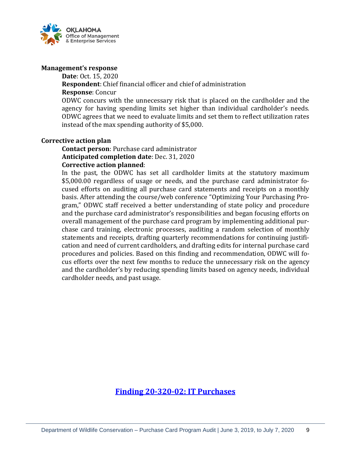

#### **Management's response**

**Date**: Oct. 15, 2020

**Respondent**: Chief financial officer and chief of administration **Response**: Concur

ODWC concurs with the unnecessary risk that is placed on the cardholder and the agency for having spending limits set higher than individual cardholder's needs. ODWC agrees that we need to evaluate limits and set them to reflect utilization rates instead of the max spending authority of \$5,000.

### **Corrective action plan**

**Contact person**: Purchase card administrator **Anticipated completion date**: Dec. 31, 2020 **Corrective action planned**:

In the past, the ODWC has set all cardholder limits at the statutory maximum \$5,000.00 regardless of usage or needs, and the purchase card administrator focused efforts on auditing all purchase card statements and receipts on a monthly basis. After attending the course/web conference "Optimizing Your Purchasing Program," ODWC staff received a better understanding of state policy and procedure and the purchase card administrator's responsibilities and began focusing efforts on overall management of the purchase card program by implementing additional purchase card training, electronic processes, auditing a random selection of monthly statements and receipts, drafting quarterly recommendations for continuing justification and need of current cardholders, and drafting edits for internal purchase card procedures and policies. Based on this finding and recommendation, ODWC will focus efforts over the next few months to reduce the unnecessary risk on the agency and the cardholder's by reducing spending limits based on agency needs, individual cardholder needs, and past usage.

<span id="page-8-0"></span>**Finding [20-320-02: IT Purchases](#page-3-3)**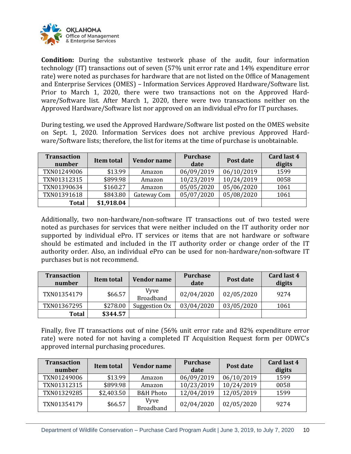

**Condition:** During the substantive testwork phase of the audit, four information technology (IT) transactions out of seven (57% unit error rate and 14% expenditure error rate) were noted as purchases for hardware that are not listed on the Office of Management and Enterprise Services (OMES) – Information Services Approved Hardware/Software list. Prior to March 1, 2020, there were two transactions not on the Approved Hardware/Software list. After March 1, 2020, there were two transactions neither on the Approved Hardware/Software list nor approved on an individual ePro for IT purchases.

During testing, we used the Approved Hardware/Software list posted on the OMES website on Sept. 1, 2020. Information Services does not archive previous Approved Hardware/Software lists; therefore, the list for items at the time of purchase is unobtainable.

| <b>Transaction</b><br>number | Item total | <b>Vendor name</b> | <b>Purchase</b><br>date | Post date  | Card last 4<br>digits |
|------------------------------|------------|--------------------|-------------------------|------------|-----------------------|
| TXN01249006                  | \$13.99    | Amazon             | 06/09/2019              | 06/10/2019 | 1599                  |
| TXN01312315                  | \$899.98   | Amazon             | 10/23/2019              | 10/24/2019 | 0058                  |
| TXN01390634                  | \$160.27   | Amazon             | 05/05/2020              | 05/06/2020 | 1061                  |
| TXN01391618                  | \$843.80   | Gateway Com        | 05/07/2020              | 05/08/2020 | 1061                  |
| <b>Total</b>                 | \$1,918.04 |                    |                         |            |                       |

Additionally, two non-hardware/non-software IT transactions out of two tested were noted as purchases for services that were neither included on the IT authority order nor supported by individual ePro. IT services or items that are not hardware or software should be estimated and included in the IT authority order or change order of the IT authority order. Also, an individual ePro can be used for non-hardware/non-software IT purchases but is not recommend.

| <b>Transaction</b><br>number | Item total | <b>Vendor name</b>              | <b>Purchase</b><br>date | Post date  | Card last 4<br>digits |
|------------------------------|------------|---------------------------------|-------------------------|------------|-----------------------|
| TXN01354179                  | \$66.57    | <b>Vyve</b><br><b>Broadband</b> | 02/04/2020              | 02/05/2020 | 9274                  |
| TXN01367295                  | \$278.00   | Suggestion Ox                   | 03/04/2020              | 03/05/2020 | 1061                  |
| <b>Total</b>                 | \$344.57   |                                 |                         |            |                       |

Finally, five IT transactions out of nine (56% unit error rate and 82% expenditure error rate) were noted for not having a completed IT Acquisition Request form per ODWC's approved internal purchasing procedures.

| <b>Transaction</b><br>number | Item total | Vendor name                     | <b>Purchase</b><br>date | Post date  | Card last 4<br>digits |
|------------------------------|------------|---------------------------------|-------------------------|------------|-----------------------|
| TXN01249006                  | \$13.99    | Amazon                          | 06/09/2019              | 06/10/2019 | 1599                  |
| TXN01312315                  | \$899.98   | Amazon                          | 10/23/2019              | 10/24/2019 | 0058                  |
| TXN01329285                  | \$2,403.50 | <b>B&amp;H Photo</b>            | 12/04/2019              | 12/05/2019 | 1599                  |
| TXN01354179                  | \$66.57    | <b>Vyve</b><br><b>Broadband</b> | 02/04/2020              | 02/05/2020 | 9274                  |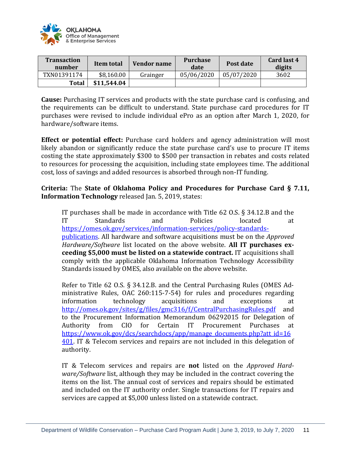

| <b>Transaction</b><br>number | Item total  | Vendor name | <b>Purchase</b><br>date | Post date  | Card last 4<br>digits |
|------------------------------|-------------|-------------|-------------------------|------------|-----------------------|
| TXN01391174                  | \$8,160.00  | Grainger    | 05/06/2020              | 05/07/2020 | 3602                  |
| Total                        | \$11,544.04 |             |                         |            |                       |

**Cause:** Purchasing IT services and products with the state purchase card is confusing, and the requirements can be difficult to understand. State purchase card procedures for IT purchases were revised to include individual ePro as an option after March 1, 2020, for hardware/software items.

**Effect or potential effect:** Purchase card holders and agency administration will most likely abandon or significantly reduce the state purchase card's use to procure IT items costing the state approximately \$300 to \$500 per transaction in rebates and costs related to resources for processing the acquisition, including state employees time. The additional cost, loss of savings and added resources is absorbed through non-IT funding.

**Criteria:** The **State of Oklahoma Policy and Procedures for Purchase Card § 7.11, Information Technology** released Jan. 5, 2019, states:

IT purchases shall be made in accordance with Title 62 O.S. § 34.12.B and the IT Standards and Policies located at [https://omes.ok.gov/services/information-services/policy-standards](https://omes.ok.gov/services/information-services/policy-standards-publications)[publications.](https://omes.ok.gov/services/information-services/policy-standards-publications) All hardware and software acquisitions must be on the *Approved Hardware/Software* list located on the above website. **All IT purchases exceeding \$5,000 must be listed on a statewide contract.** IT acquisitions shall comply with the applicable Oklahoma Information Technology Accessibility Standards issued by OMES, also available on the above website.

Refer to Title 62 O.S. § 34.12.B. and the Central Purchasing Rules (OMES Administrative Rules, OAC 260:115-7-54) for rules and procedures regarding information technology acquisitions and exceptions at <http://omes.ok.gov/sites/g/files/gmc316/f/CentralPurchasingRules.pdf> and to the Procurement Information Memorandum 06292015 for Delegation of Authority from CIO for Certain IT Procurement Purchases at [https://www.ok.gov/dcs/searchdocs/app/manage\\_documents.php?att\\_id=16](https://www.ok.gov/dcs/searchdocs/app/manage_documents.php?att_id=16401) [401.](https://www.ok.gov/dcs/searchdocs/app/manage_documents.php?att_id=16401) IT & Telecom services and repairs are not included in this delegation of authority.

IT & Telecom services and repairs are **not** listed on the *Approved Hardware/Software* list, although they may be included in the contract covering the items on the list. The annual cost of services and repairs should be estimated and included on the IT authority order. Single transactions for IT repairs and services are capped at \$5,000 unless listed on a statewide contract.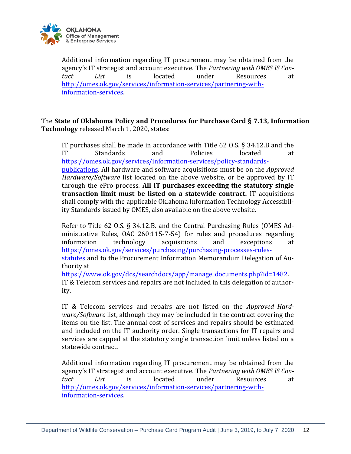

Additional information regarding IT procurement may be obtained from the agency's IT strategist and account executive. The *Partnering with OMES IS Contact List* is located under Resources at [http://omes.ok.gov/services/information-services/partnering-with](http://omes.ok.gov/services/information-services/partnering-with-information-services)[information-services.](http://omes.ok.gov/services/information-services/partnering-with-information-services)

The **State of Oklahoma Policy and Procedures for Purchase Card § 7.13, Information Technology** released March 1, 2020, states:

IT purchases shall be made in accordance with Title 62 O.S. § 34.12.B and the IT Standards and Policies located at [https://omes.ok.gov/services/information-services/policy-standards](https://omes.ok.gov/services/information-services/policy-standards-publications)[publications.](https://omes.ok.gov/services/information-services/policy-standards-publications) All hardware and software acquisitions must be on the *Approved Hardware/Software* list located on the above website, or be approved by IT through the ePro process. **All IT purchases exceeding the statutory single transaction limit must be listed on a statewide contract.** IT acquisitions shall comply with the applicable Oklahoma Information Technology Accessibility Standards issued by OMES, also available on the above website.

Refer to Title 62 O.S. § 34.12.B. and the Central Purchasing Rules (OMES Administrative Rules, OAC 260:115-7-54) for rules and procedures regarding information technology acquisitions and exceptions at [https://omes.ok.gov/services/purchasing/purchasing-processes-rules](https://omes.ok.gov/services/purchasing/purchasing-processes-rules-statutes)[statutes](https://omes.ok.gov/services/purchasing/purchasing-processes-rules-statutes) and to the Procurement Information Memorandum Delegation of Authority at

https://www.ok.gov/dcs/searchdocs/app/manage\_documents.php?id=1482. IT & Telecom services and repairs are not included in this delegation of authority.

IT & Telecom services and repairs are not listed on the *Approved Hardware/Software* list, although they may be included in the contract covering the items on the list. The annual cost of services and repairs should be estimated and included on the IT authority order. Single transactions for IT repairs and services are capped at the statutory single transaction limit unless listed on a statewide contract.

Additional information regarding IT procurement may be obtained from the agency's IT strategist and account executive. The *Partnering with OMES IS Contact List* is located under Resources at [http://omes.ok.gov/services/information-services/partnering-with](http://omes.ok.gov/services/information-services/partnering-with-information-services)[information-services.](http://omes.ok.gov/services/information-services/partnering-with-information-services)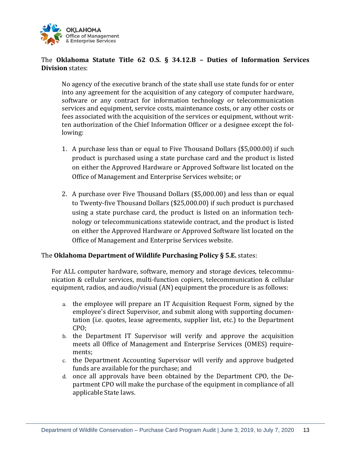

## The **Oklahoma Statute Title 62 O.S. § 34.12.B – Duties of Information Services Division** states:

No agency of the executive branch of the state shall use state funds for or enter into any agreement for the acquisition of any category of computer hardware, software or any contract for information technology or telecommunication services and equipment, service costs, maintenance costs, or any other costs or fees associated with the acquisition of the services or equipment, without written authorization of the Chief Information Officer or a designee except the following:

- 1. A purchase less than or equal to Five Thousand Dollars (\$5,000.00) if such product is purchased using a state purchase card and the product is listed on either the Approved Hardware or Approved Software list located on the Office of Management and Enterprise Services website; or
- 2. A purchase over Five Thousand Dollars (\$5,000.00) and less than or equal to Twenty-five Thousand Dollars (\$25,000.00) if such product is purchased using a state purchase card, the product is listed on an information technology or telecommunications statewide contract, and the product is listed on either the Approved Hardware or Approved Software list located on the Office of Management and Enterprise Services website.

## The **Oklahoma Department of Wildlife Purchasing Policy § 5.E.** states:

For ALL computer hardware, software, memory and storage devices, telecommunication & cellular services, multi-function copiers, telecommunication & cellular equipment, radios, and audio/visual (AN) equipment the procedure is as follows:

- a. the employee will prepare an IT Acquisition Request Form, signed by the employee's direct Supervisor, and submit along with supporting documentation (i.e. quotes, lease agreements, supplier list, etc.) to the Department CPO;
- b. the Department IT Supervisor will verify and approve the acquisition meets all Office of Management and Enterprise Services (OMES) requirements;
- c. the Department Accounting Supervisor will verify and approve budgeted funds are available for the purchase; and
- d. once all approvals have been obtained by the Department CPO, the Department CPO will make the purchase of the equipment in compliance of all applicable State laws.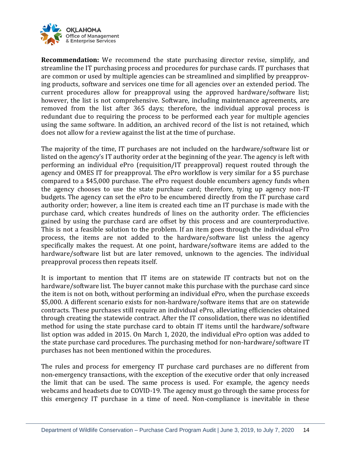

**Recommendation:** We recommend the state purchasing director revise, simplify, and streamline the IT purchasing process and procedures for purchase cards. IT purchases that are common or used by multiple agencies can be streamlined and simplified by preapproving products, software and services one time for all agencies over an extended period. The current procedures allow for preapproval using the approved hardware/software list; however, the list is not comprehensive. Software, including maintenance agreements, are removed from the list after 365 days; therefore, the individual approval process is redundant due to requiring the process to be performed each year for multiple agencies using the same software. In addition, an archived record of the list is not retained, which does not allow for a review against the list at the time of purchase.

The majority of the time, IT purchases are not included on the hardware/software list or listed on the agency's IT authority order at the beginning of the year. The agency is left with performing an individual ePro (requisition/IT preapproval) request routed through the agency and OMES IT for preapproval. The ePro workflow is very similar for a \$5 purchase compared to a \$45,000 purchase. The ePro request double encumbers agency funds when the agency chooses to use the state purchase card; therefore, tying up agency non-IT budgets. The agency can set the ePro to be encumbered directly from the IT purchase card authority order; however, a line item is created each time an IT purchase is made with the purchase card, which creates hundreds of lines on the authority order. The efficiencies gained by using the purchase card are offset by this process and are counterproductive. This is not a feasible solution to the problem. If an item goes through the individual ePro process, the items are not added to the hardware/software list unless the agency specifically makes the request. At one point, hardware/software items are added to the hardware/software list but are later removed, unknown to the agencies. The individual preapproval process then repeats itself.

It is important to mention that IT items are on statewide IT contracts but not on the hardware/software list. The buyer cannot make this purchase with the purchase card since the item is not on both, without performing an individual ePro, when the purchase exceeds \$5,000. A different scenario exists for non-hardware/software items that are on statewide contracts. These purchases still require an individual ePro, alleviating efficiencies obtained through creating the statewide contract. After the IT consolidation, there was no identified method for using the state purchase card to obtain IT items until the hardware/software list option was added in 2015. On March 1, 2020, the individual ePro option was added to the state purchase card procedures. The purchasing method for non-hardware/software IT purchases has not been mentioned within the procedures.

The rules and process for emergency IT purchase card purchases are no different from non-emergency transactions, with the exception of the executive order that only increased the limit that can be used. The same process is used. For example, the agency needs webcams and headsets due to COVID-19. The agency must go through the same process for this emergency IT purchase in a time of need. Non-compliance is inevitable in these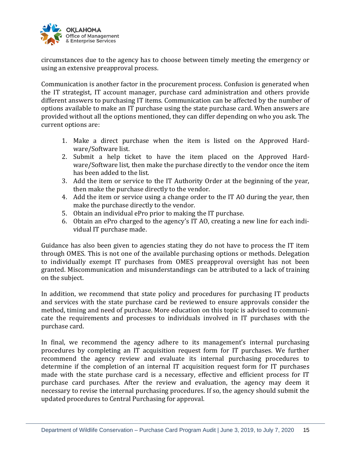

circumstances due to the agency has to choose between timely meeting the emergency or using an extensive preapproval process.

Communication is another factor in the procurement process. Confusion is generated when the IT strategist, IT account manager, purchase card administration and others provide different answers to purchasing IT items. Communication can be affected by the number of options available to make an IT purchase using the state purchase card. When answers are provided without all the options mentioned, they can differ depending on who you ask. The current options are:

- 1. Make a direct purchase when the item is listed on the Approved Hardware/Software list.
- 2. Submit a help ticket to have the item placed on the Approved Hardware/Software list, then make the purchase directly to the vendor once the item has been added to the list.
- 3. Add the item or service to the IT Authority Order at the beginning of the year, then make the purchase directly to the vendor.
- 4. Add the item or service using a change order to the IT AO during the year, then make the purchase directly to the vendor.
- 5. Obtain an individual ePro prior to making the IT purchase.
- 6. Obtain an ePro charged to the agency's IT AO, creating a new line for each individual IT purchase made.

Guidance has also been given to agencies stating they do not have to process the IT item through OMES. This is not one of the available purchasing options or methods. Delegation to individually exempt IT purchases from OMES preapproval oversight has not been granted. Miscommunication and misunderstandings can be attributed to a lack of training on the subject.

In addition, we recommend that state policy and procedures for purchasing IT products and services with the state purchase card be reviewed to ensure approvals consider the method, timing and need of purchase. More education on this topic is advised to communicate the requirements and processes to individuals involved in IT purchases with the purchase card.

In final, we recommend the agency adhere to its management's internal purchasing procedures by completing an IT acquisition request form for IT purchases. We further recommend the agency review and evaluate its internal purchasing procedures to determine if the completion of an internal IT acquisition request form for IT purchases made with the state purchase card is a necessary, effective and efficient process for IT purchase card purchases. After the review and evaluation, the agency may deem it necessary to revise the internal purchasing procedures. If so, the agency should submit the updated procedures to Central Purchasing for approval.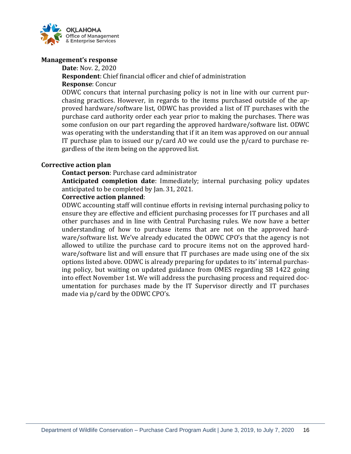

### **Management's response**

**Date**: Nov. 2, 2020

# **Respondent**: Chief financial officer and chief of administration

#### **Response**: Concur

ODWC concurs that internal purchasing policy is not in line with our current purchasing practices. However, in regards to the items purchased outside of the approved hardware/software list, ODWC has provided a list of IT purchases with the purchase card authority order each year prior to making the purchases. There was some confusion on our part regarding the approved hardware/software list. ODWC was operating with the understanding that if it an item was approved on our annual IT purchase plan to issued our p/card AO we could use the p/card to purchase regardless of the item being on the approved list.

### **Corrective action plan**

**Contact person**: Purchase card administrator

**Anticipated completion date**: Immediately; internal purchasing policy updates anticipated to be completed by Jan. 31, 2021.

### **Corrective action planned**:

ODWC accounting staff will continue efforts in revising internal purchasing policy to ensure they are effective and efficient purchasing processes for IT purchases and all other purchases and in line with Central Purchasing rules. We now have a better understanding of how to purchase items that are not on the approved hardware/software list. We've already educated the ODWC CPO's that the agency is not allowed to utilize the purchase card to procure items not on the approved hardware/software list and will ensure that IT purchases are made using one of the six options listed above. ODWC is already preparing for updates to its' internal purchasing policy, but waiting on updated guidance from OMES regarding SB 1422 going into effect November 1st. We will address the purchasing process and required documentation for purchases made by the IT Supervisor directly and IT purchases made via p/card by the ODWC CPO's.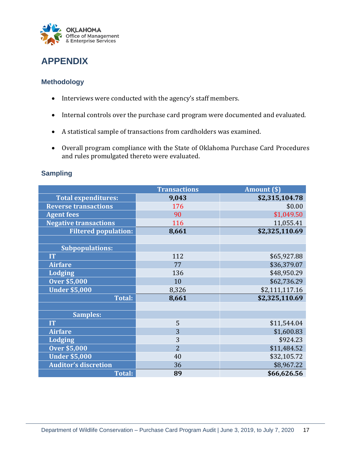

# <span id="page-16-0"></span>**APPENDIX**

# <span id="page-16-1"></span>**Methodology**

- Interviews were conducted with the agency's staff members.
- Internal controls over the purchase card program were documented and evaluated.
- A statistical sample of transactions from cardholders was examined.
- Overall program compliance with the State of Oklahoma Purchase Card Procedures and rules promulgated thereto were evaluated.

## <span id="page-16-2"></span>**Sampling**

|                              | <b>Transactions</b> | Amount (\$)    |
|------------------------------|---------------------|----------------|
| <b>Total expenditures:</b>   | 9,043               | \$2,315,104.78 |
| <b>Reverse transactions</b>  | 176                 | \$0.00         |
| <b>Agent fees</b>            | 90                  | \$1,049.50     |
| <b>Negative transactions</b> | 116                 | 11,055.41      |
| <b>Filtered population:</b>  | 8,661               | \$2,325,110.69 |
|                              |                     |                |
| <b>Subpopulations:</b>       |                     |                |
| <b>IT</b>                    | 112                 | \$65,927.88    |
| <b>Airfare</b>               | 77                  | \$36,379.07    |
| <b>Lodging</b>               | 136                 | \$48,950.29    |
| <b>Over \$5,000</b>          | 10                  | \$62,736.29    |
| <b>Under \$5,000</b>         | 8,326               | \$2,111,117.16 |
| <b>Total:</b>                | 8,661               | \$2,325,110.69 |
|                              |                     |                |
| <b>Samples:</b>              |                     |                |
| <b>IT</b>                    | 5                   | \$11,544.04    |
| <b>Airfare</b>               | 3                   | \$1,600.83     |
| <b>Lodging</b>               | 3                   | \$924.23       |
| <b>Over \$5,000</b>          | $\overline{2}$      | \$11,484.52    |
| <b>Under \$5,000</b>         | 40                  | \$32,105.72    |
| <b>Auditor's discretion</b>  | 36                  | \$8,967.22     |
| <b>Total:</b>                | 89                  | \$66,626.56    |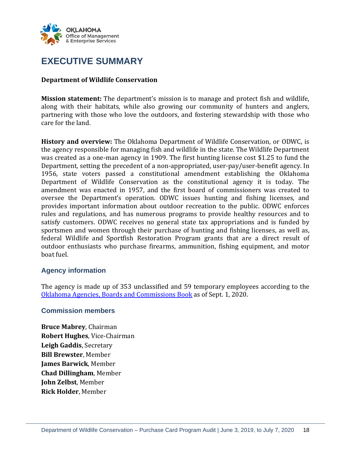

# <span id="page-17-0"></span>**EXECUTIVE SUMMARY**

### **Department of Wildlife Conservation**

**Mission statement:** The department's mission is to manage and protect fish and wildlife, along with their habitats, while also growing our community of hunters and anglers, partnering with those who love the outdoors, and fostering stewardship with those who care for the land.

**History and overview:** The Oklahoma Department of Wildlife Conservation, or ODWC, is the agency responsible for managing fish and wildlife in the state. The Wildlife Department was created as a one-man agency in 1909. The first hunting license cost \$1.25 to fund the Department, setting the precedent of a non-appropriated, user-pay/user-benefit agency. In 1956, state voters passed a constitutional amendment establishing the Oklahoma Department of Wildlife Conservation as the constitutional agency it is today. The amendment was enacted in 1957, and the first board of commissioners was created to oversee the Department's operation. ODWC issues hunting and fishing licenses, and provides important information about outdoor recreation to the public. ODWC enforces rules and regulations, and has numerous programs to provide healthy resources and to satisfy customers. ODWC receives no general state tax appropriations and is funded by sportsmen and women through their purchase of hunting and fishing licenses, as well as, federal Wildlife and Sportfish Restoration Program grants that are a direct result of outdoor enthusiasts who purchase firearms, ammunition, fishing equipment, and motor boat fuel.

### <span id="page-17-1"></span>**Agency information**

The agency is made up of 353 unclassified and 59 temporary employees according to the [Oklahoma Agencies, Boards and Commissions Book](https://libraries.ok.gov/state-government/the-abc-book/) as of Sept. 1, 2020.

### <span id="page-17-2"></span>**Commission members**

**Bruce Mabrey**, Chairman **Robert Hughes**, Vice-Chairman **Leigh Gaddis**, Secretary **Bill Brewster**, Member **James Barwick**, Member **Chad Dillingham**, Member **John Zelbst**, Member **Rick Holder**, Member